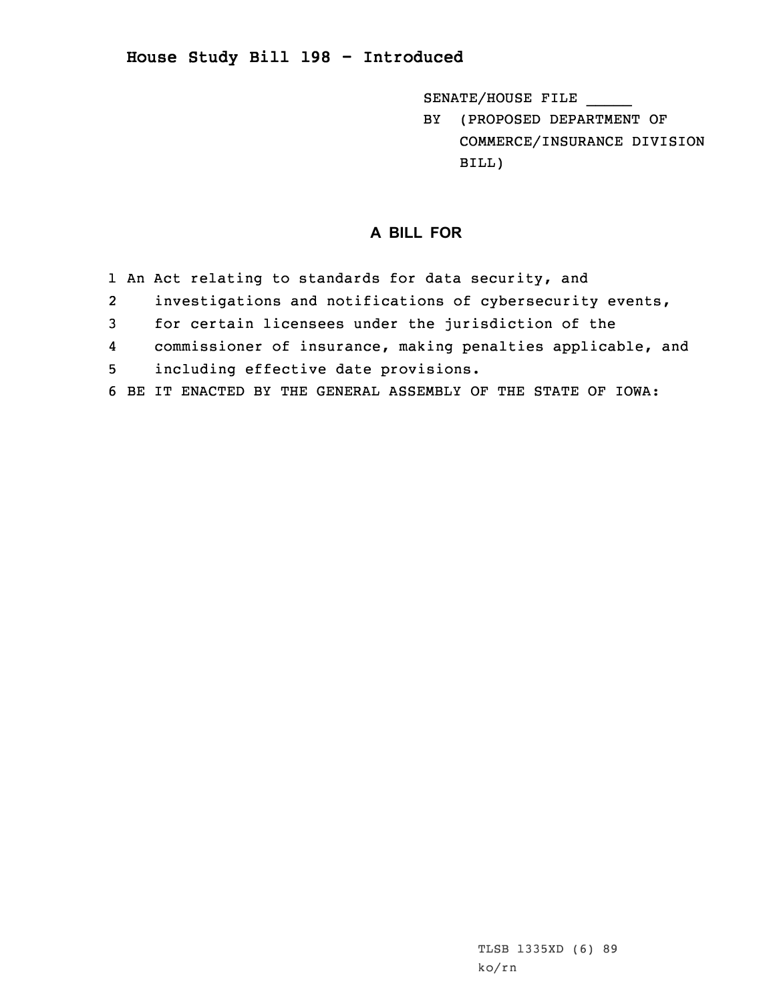SENATE/HOUSE FILE \_\_\_\_\_

BY (PROPOSED DEPARTMENT OF COMMERCE/INSURANCE DIVISION BILL)

## **A BILL FOR**

- 1 An Act relating to standards for data security, and
- 2investigations and notifications of cybersecurity events,
- 3 for certain licensees under the jurisdiction of the
- 4commissioner of insurance, making penalties applicable, and
- 5 including effective date provisions.
- 6 BE IT ENACTED BY THE GENERAL ASSEMBLY OF THE STATE OF IOWA: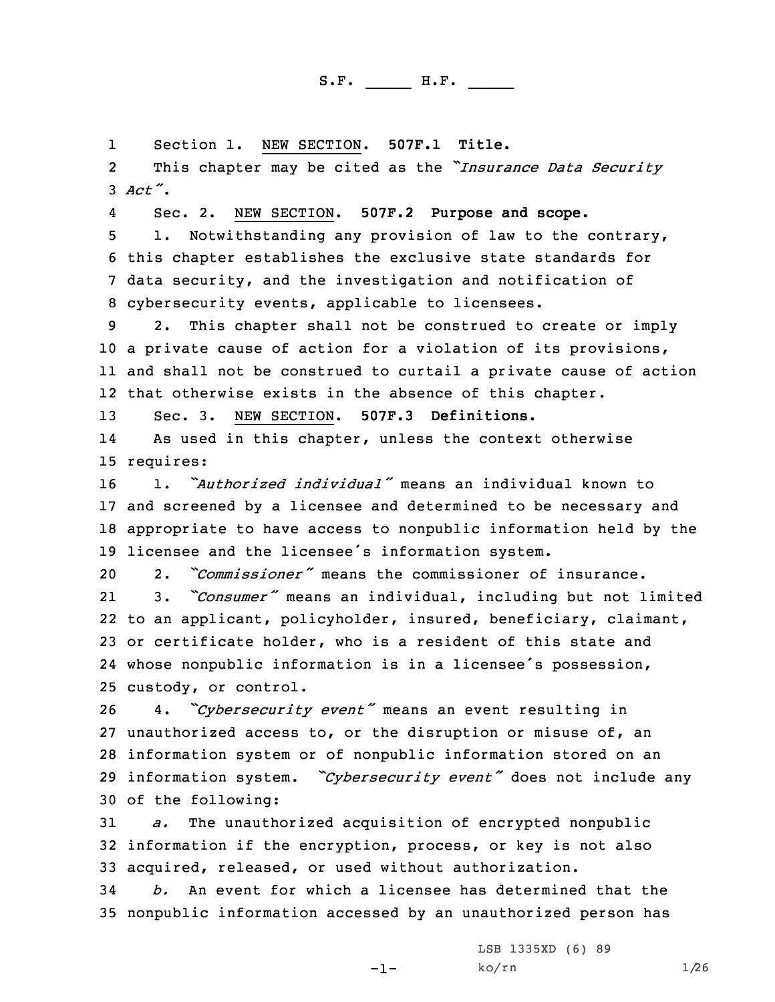1Section 1. NEW SECTION. **507F.1 Title.**

2 This chapter may be cited as the *"Insurance Data Security* 3 *Act"*.

4Sec. 2. NEW SECTION. **507F.2 Purpose and scope.**

 1. Notwithstanding any provision of law to the contrary, this chapter establishes the exclusive state standards for data security, and the investigation and notification of cybersecurity events, applicable to licensees.

 2. This chapter shall not be construed to create or imply <sup>a</sup> private cause of action for <sup>a</sup> violation of its provisions, and shall not be construed to curtail <sup>a</sup> private cause of action that otherwise exists in the absence of this chapter.

13 Sec. 3. NEW SECTION. **507F.3 Definitions.**

14 As used in this chapter, unless the context otherwise 15 requires:

 1. *"Authorized individual"* means an individual known to and screened by <sup>a</sup> licensee and determined to be necessary and appropriate to have access to nonpublic information held by the licensee and the licensee's information system.

20 2. *"Commissioner"* means the commissioner of insurance.

21 3. *"Consumer"* means an individual, including but not limited to an applicant, policyholder, insured, beneficiary, claimant, or certificate holder, who is <sup>a</sup> resident of this state and whose nonpublic information is in <sup>a</sup> licensee's possession, custody, or control.

 4. *"Cybersecurity event"* means an event resulting in unauthorized access to, or the disruption or misuse of, an information system or of nonpublic information stored on an information system. *"Cybersecurity event"* does not include any of the following:

31 *a.* The unauthorized acquisition of encrypted nonpublic 32 information if the encryption, process, or key is not also 33 acquired, released, or used without authorization.

34 *b.* An event for which <sup>a</sup> licensee has determined that the 35 nonpublic information accessed by an unauthorized person has

-1-

LSB 1335XD (6) 89  $ko/rn$  1/26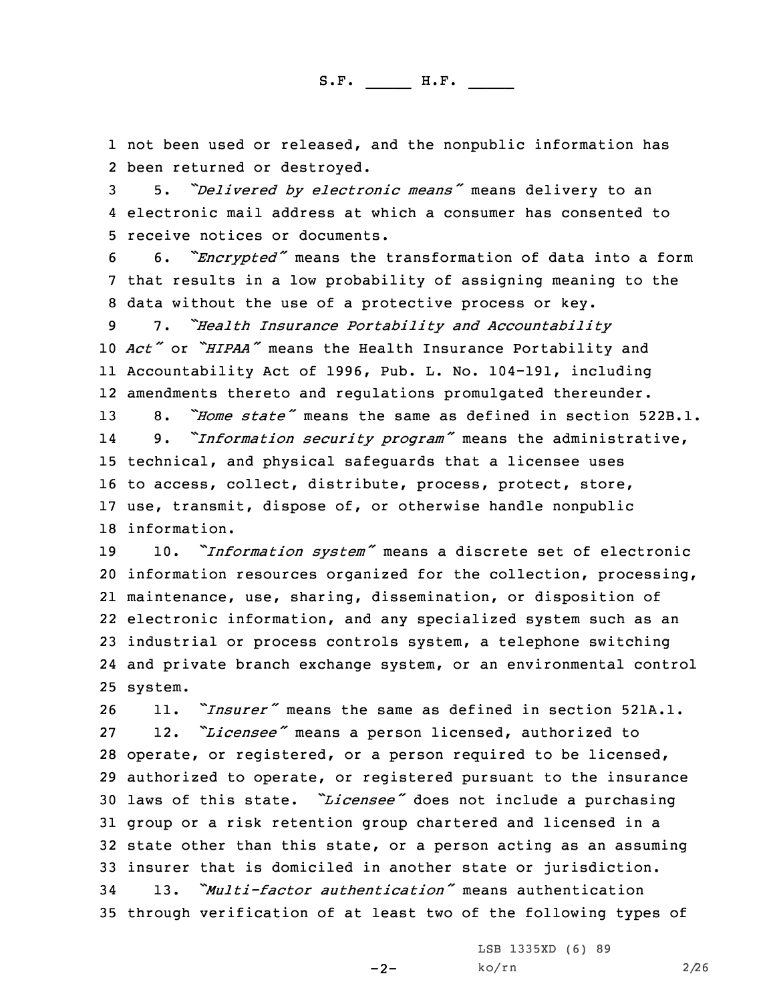1 not been used or released, and the nonpublic information has 2 been returned or destroyed.

<sup>3</sup> 5. *"Delivered by electronic means"* means delivery to an 4 electronic mail address at which <sup>a</sup> consumer has consented to 5 receive notices or documents.

<sup>6</sup> 6. *"Encrypted"* means the transformation of data into <sup>a</sup> form 7 that results in <sup>a</sup> low probability of assigning meaning to the 8 data without the use of <sup>a</sup> protective process or key.

 7. *"Health Insurance Portability and Accountability Act"* or *"HIPAA"* means the Health Insurance Portability and Accountability Act of 1996, Pub. L. No. 104-191, including amendments thereto and regulations promulgated thereunder.

 8. *"Home state"* means the same as defined in section 522B.1. 14 9. *"Information security program"* means the administrative, technical, and physical safeguards that <sup>a</sup> licensee uses to access, collect, distribute, process, protect, store, use, transmit, dispose of, or otherwise handle nonpublic information.

 10. *"Information system"* means <sup>a</sup> discrete set of electronic information resources organized for the collection, processing, maintenance, use, sharing, dissemination, or disposition of electronic information, and any specialized system such as an industrial or process controls system, <sup>a</sup> telephone switching and private branch exchange system, or an environmental control 25 system.

 11. *"Insurer"* means the same as defined in section 521A.1. 12. *"Licensee"* means <sup>a</sup> person licensed, authorized to operate, or registered, or <sup>a</sup> person required to be licensed, authorized to operate, or registered pursuant to the insurance laws of this state. *"Licensee"* does not include <sup>a</sup> purchasing group or <sup>a</sup> risk retention group chartered and licensed in <sup>a</sup> state other than this state, or <sup>a</sup> person acting as an assuming insurer that is domiciled in another state or jurisdiction. 13. *"Multi-factor authentication"* means authentication through verification of at least two of the following types of

 $-2-$ 

LSB 1335XD (6) 89 ko/rn 2/26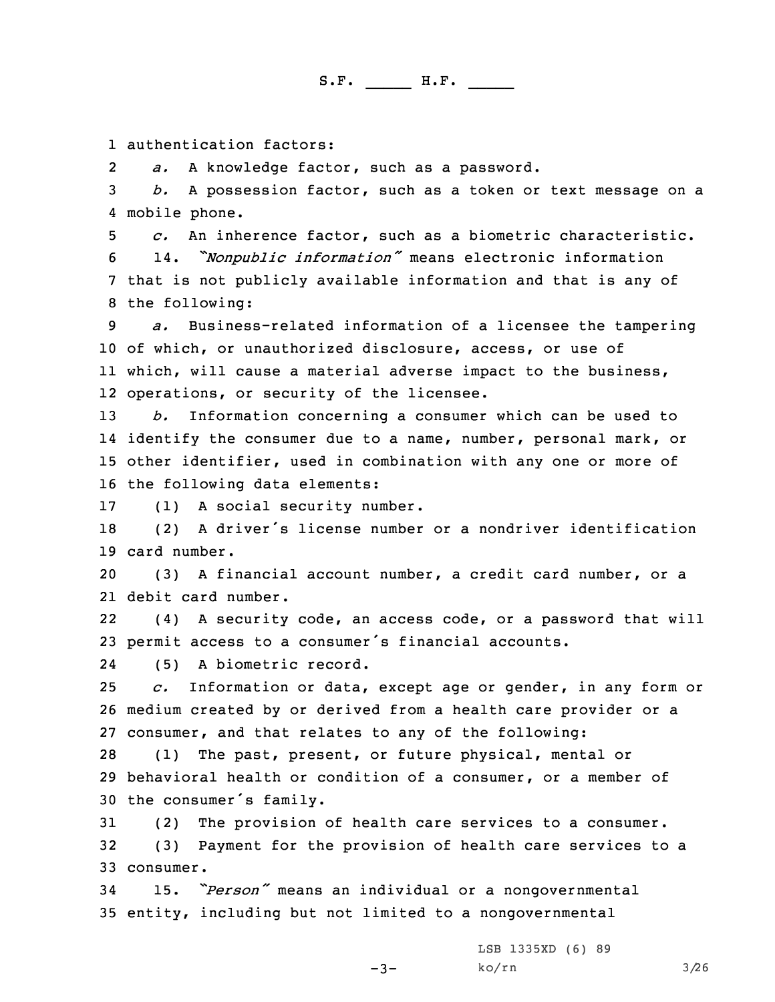1 authentication factors:

2*a.* <sup>A</sup> knowledge factor, such as <sup>a</sup> password.

3 *b.* <sup>A</sup> possession factor, such as <sup>a</sup> token or text message on <sup>a</sup> 4 mobile phone.

 *c.* An inherence factor, such as <sup>a</sup> biometric characteristic. 14. *"Nonpublic information"* means electronic information that is not publicly available information and that is any of the following:

 *a.* Business-related information of <sup>a</sup> licensee the tampering of which, or unauthorized disclosure, access, or use of which, will cause <sup>a</sup> material adverse impact to the business, operations, or security of the licensee.

 *b.* Information concerning <sup>a</sup> consumer which can be used to identify the consumer due to <sup>a</sup> name, number, personal mark, or other identifier, used in combination with any one or more of the following data elements:

17 (1) <sup>A</sup> social security number.

<sup>18</sup> (2) <sup>A</sup> driver's license number or <sup>a</sup> nondriver identification 19 card number.

20 (3) <sup>A</sup> financial account number, <sup>a</sup> credit card number, or <sup>a</sup> 21 debit card number.

22 (4) <sup>A</sup> security code, an access code, or <sup>a</sup> password that will <sup>23</sup> permit access to <sup>a</sup> consumer's financial accounts.

24(5) <sup>A</sup> biometric record.

25 *c.* Information or data, except age or gender, in any form or 26 medium created by or derived from <sup>a</sup> health care provider or <sup>a</sup> 27 consumer, and that relates to any of the following:

28 (1) The past, present, or future physical, mental or 29 behavioral health or condition of <sup>a</sup> consumer, or <sup>a</sup> member of <sup>30</sup> the consumer's family.

31 (2) The provision of health care services to <sup>a</sup> consumer. 32 (3) Payment for the provision of health care services to <sup>a</sup> 33 consumer.

 $-3-$ 

<sup>34</sup> 15. *"Person"* means an individual or <sup>a</sup> nongovernmental 35 entity, including but not limited to <sup>a</sup> nongovernmental

> LSB 1335XD (6) 89 ko/rn 3/26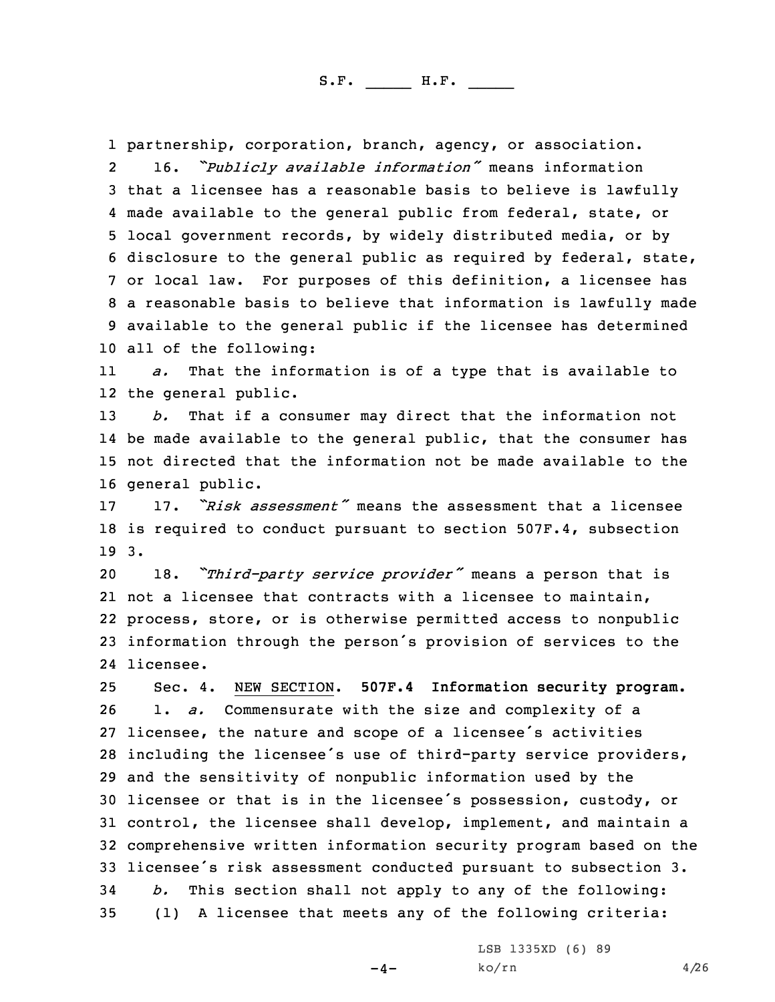partnership, corporation, branch, agency, or association. 2 16. *"Publicly available information"* means information that <sup>a</sup> licensee has <sup>a</sup> reasonable basis to believe is lawfully made available to the general public from federal, state, or local government records, by widely distributed media, or by disclosure to the general public as required by federal, state, or local law. For purposes of this definition, <sup>a</sup> licensee has <sup>a</sup> reasonable basis to believe that information is lawfully made available to the general public if the licensee has determined all of the following:

11 *a.* That the information is of <sup>a</sup> type that is available to 12 the general public.

 *b.* That if <sup>a</sup> consumer may direct that the information not be made available to the general public, that the consumer has not directed that the information not be made available to the general public.

17 17. *"Risk assessment"* means the assessment that <sup>a</sup> licensee 18 is required to conduct pursuant to section 507F.4, subsection 19 3.

 18. *"Third-party service provider"* means <sup>a</sup> person that is not <sup>a</sup> licensee that contracts with <sup>a</sup> licensee to maintain, process, store, or is otherwise permitted access to nonpublic information through the person's provision of services to the licensee.

 Sec. 4. NEW SECTION. **507F.4 Information security program.** 1. *a.* Commensurate with the size and complexity of <sup>a</sup> licensee, the nature and scope of <sup>a</sup> licensee's activities including the licensee's use of third-party service providers, and the sensitivity of nonpublic information used by the licensee or that is in the licensee's possession, custody, or control, the licensee shall develop, implement, and maintain <sup>a</sup> comprehensive written information security program based on the licensee's risk assessment conducted pursuant to subsection 3. *b.* This section shall not apply to any of the following: (1) <sup>A</sup> licensee that meets any of the following criteria:

 $-4-$ 

LSB 1335XD (6) 89  $ko/rn$  4/26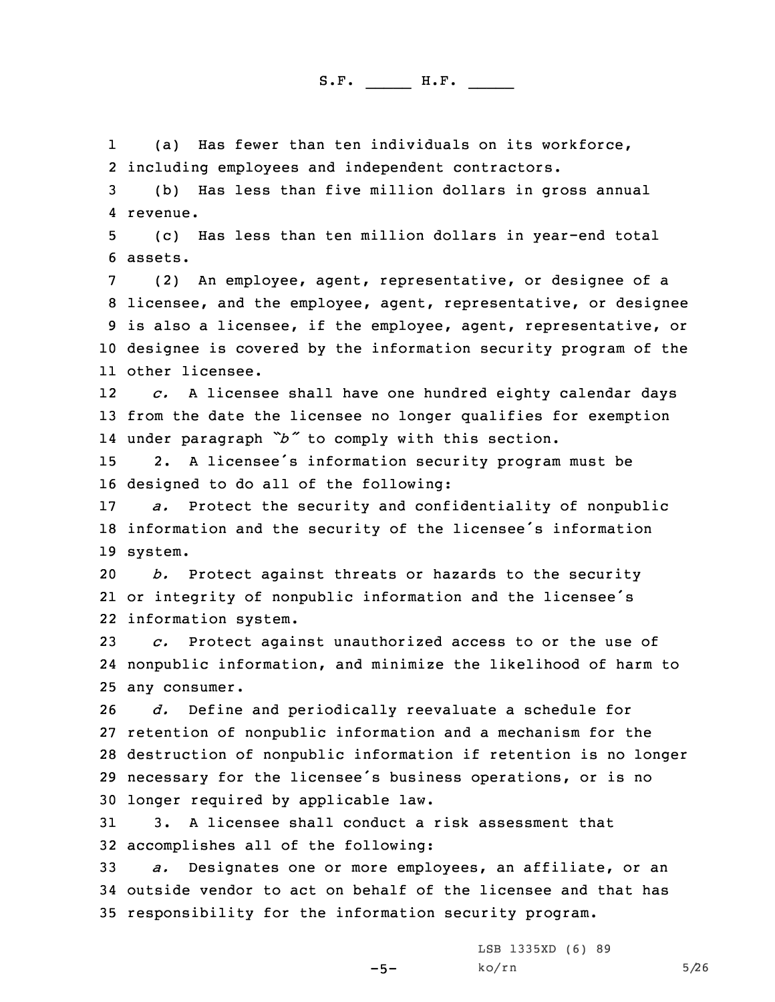1 (a) Has fewer than ten individuals on its workforce, 2 including employees and independent contractors.

3 (b) Has less than five million dollars in gross annual 4 revenue.

5 (c) Has less than ten million dollars in year-end total 6 assets.

 (2) An employee, agent, representative, or designee of <sup>a</sup> licensee, and the employee, agent, representative, or designee is also <sup>a</sup> licensee, if the employee, agent, representative, or designee is covered by the information security program of the other licensee.

12 *c.* <sup>A</sup> licensee shall have one hundred eighty calendar days 13 from the date the licensee no longer qualifies for exemption 14 under paragraph *"b"* to comply with this section.

<sup>15</sup> 2. <sup>A</sup> licensee's information security program must be 16 designed to do all of the following:

17 *a.* Protect the security and confidentiality of nonpublic <sup>18</sup> information and the security of the licensee's information 19 system.

20 *b.* Protect against threats or hazards to the security 21 or integrity of nonpublic information and the licensee's 22 information system.

23 *c.* Protect against unauthorized access to or the use of 24 nonpublic information, and minimize the likelihood of harm to 25 any consumer.

 *d.* Define and periodically reevaluate <sup>a</sup> schedule for retention of nonpublic information and <sup>a</sup> mechanism for the destruction of nonpublic information if retention is no longer necessary for the licensee's business operations, or is no longer required by applicable law.

31 3. A licensee shall conduct <sup>a</sup> risk assessment that 32 accomplishes all of the following:

33 *a.* Designates one or more employees, an affiliate, or an 34 outside vendor to act on behalf of the licensee and that has 35 responsibility for the information security program.

 $-5-$ 

LSB 1335XD (6) 89  $ko/rn$  5/26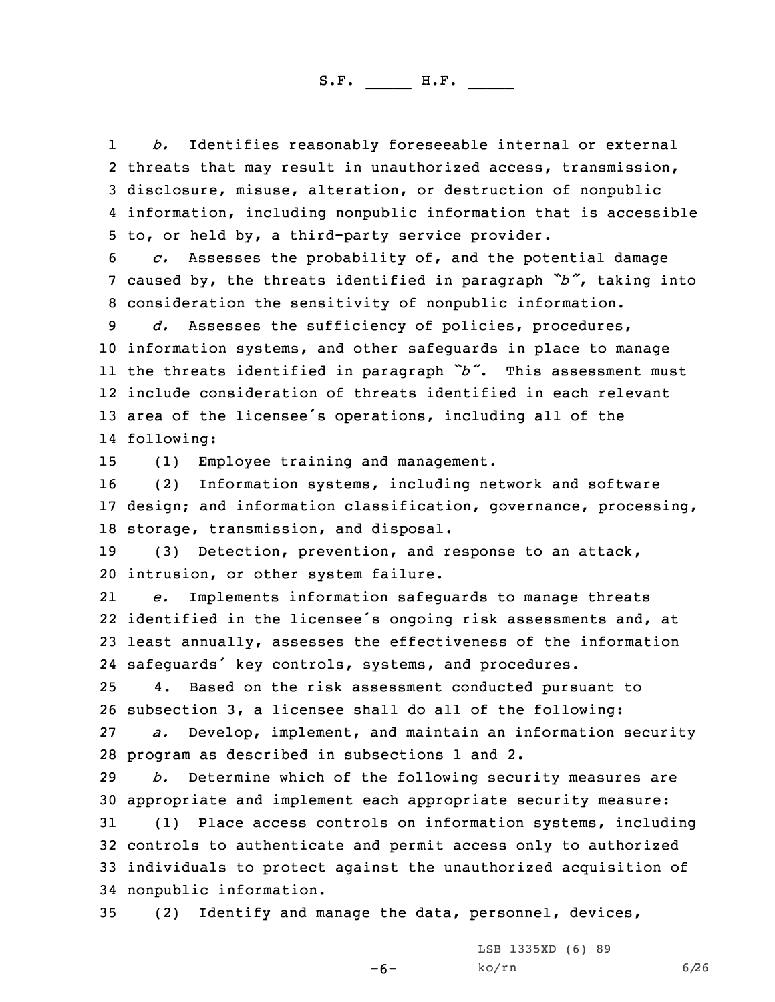1 *b.* Identifies reasonably foreseeable internal or external threats that may result in unauthorized access, transmission, disclosure, misuse, alteration, or destruction of nonpublic information, including nonpublic information that is accessible to, or held by, <sup>a</sup> third-party service provider.

6 *c.* Assesses the probability of, and the potential damage <sup>7</sup> caused by, the threats identified in paragraph *"b"*, taking into 8 consideration the sensitivity of nonpublic information.

 *d.* Assesses the sufficiency of policies, procedures, information systems, and other safeguards in place to manage the threats identified in paragraph *"b"*. This assessment must include consideration of threats identified in each relevant area of the licensee's operations, including all of the following:

15 (1) Employee training and management.

16 (2) Information systems, including network and software 17 design; and information classification, governance, processing, 18 storage, transmission, and disposal.

19 (3) Detection, prevention, and response to an attack, 20 intrusion, or other system failure.

21 *e.* Implements information safeguards to manage threats 22 identified in the licensee's ongoing risk assessments and, at 23 least annually, assesses the effectiveness of the information 24 safeguards' key controls, systems, and procedures.

25 4. Based on the risk assessment conducted pursuant to 26 subsection 3, <sup>a</sup> licensee shall do all of the following: 27 *a.* Develop, implement, and maintain an information security

28 program as described in subsections 1 and 2.

29 *b.* Determine which of the following security measures are 30 appropriate and implement each appropriate security measure:

 (1) Place access controls on information systems, including controls to authenticate and permit access only to authorized individuals to protect against the unauthorized acquisition of nonpublic information.

-6-

35 (2) Identify and manage the data, personnel, devices,

LSB 1335XD (6) 89  $ko/rn$  6/26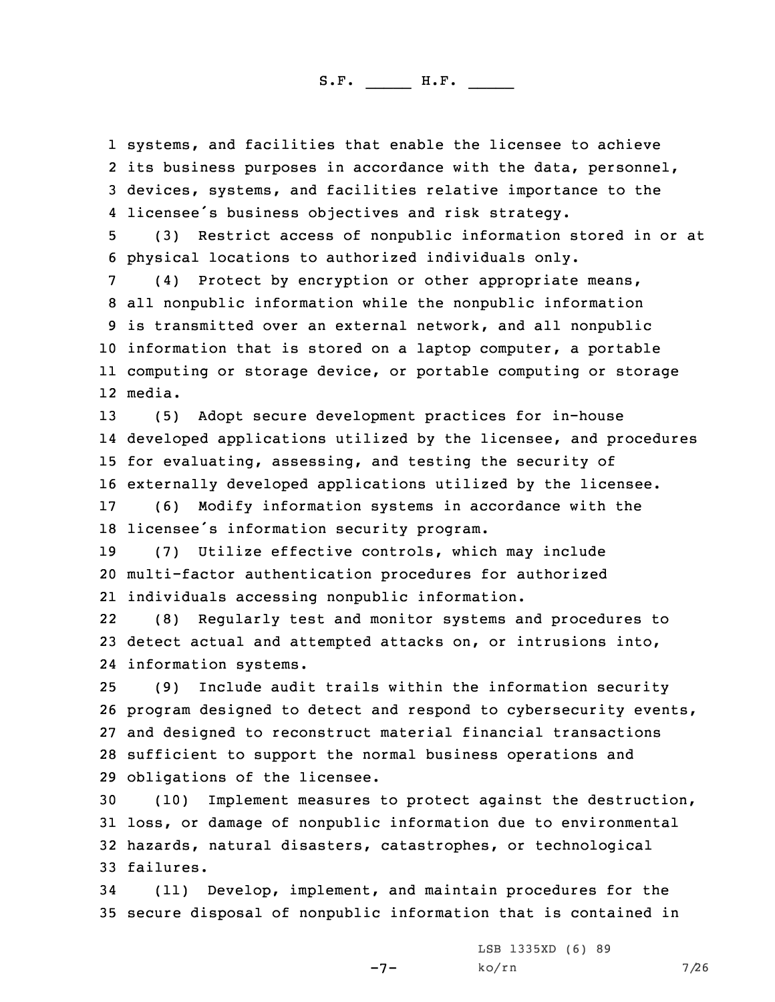systems, and facilities that enable the licensee to achieve its business purposes in accordance with the data, personnel, devices, systems, and facilities relative importance to the licensee's business objectives and risk strategy.

5 (3) Restrict access of nonpublic information stored in or at 6 physical locations to authorized individuals only.

 (4) Protect by encryption or other appropriate means, all nonpublic information while the nonpublic information is transmitted over an external network, and all nonpublic information that is stored on <sup>a</sup> laptop computer, <sup>a</sup> portable computing or storage device, or portable computing or storage 12 media.

 (5) Adopt secure development practices for in-house developed applications utilized by the licensee, and procedures for evaluating, assessing, and testing the security of externally developed applications utilized by the licensee.

17 (6) Modify information systems in accordance with the 18 licensee's information security program.

19 (7) Utilize effective controls, which may include 20 multi-factor authentication procedures for authorized 21 individuals accessing nonpublic information.

22 (8) Regularly test and monitor systems and procedures to 23 detect actual and attempted attacks on, or intrusions into, 24 information systems.

 (9) Include audit trails within the information security program designed to detect and respond to cybersecurity events, and designed to reconstruct material financial transactions sufficient to support the normal business operations and obligations of the licensee.

 (10) Implement measures to protect against the destruction, loss, or damage of nonpublic information due to environmental hazards, natural disasters, catastrophes, or technological failures.

34 (11) Develop, implement, and maintain procedures for the 35 secure disposal of nonpublic information that is contained in

-7-

LSB 1335XD (6) 89  $ko/rn$  7/26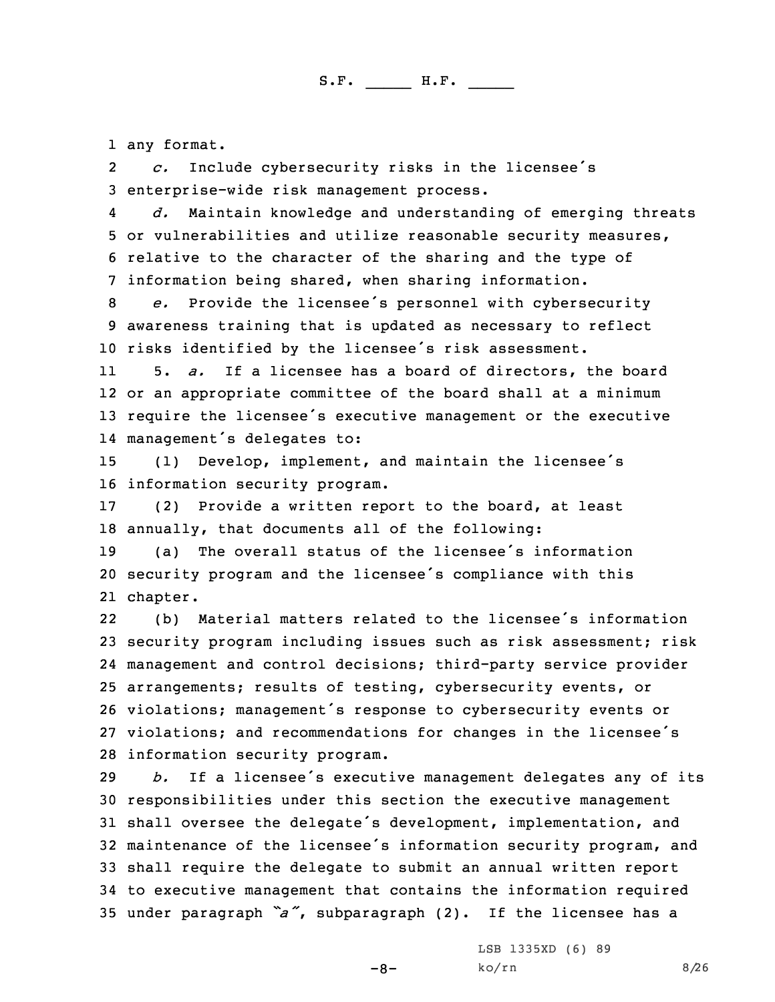1 any format.

2 *c.* Include cybersecurity risks in the licensee's 3 enterprise-wide risk management process.

4 *d.* Maintain knowledge and understanding of emerging threats 5 or vulnerabilities and utilize reasonable security measures, 6 relative to the character of the sharing and the type of 7 information being shared, when sharing information.

<sup>8</sup> *e.* Provide the licensee's personnel with cybersecurity 9 awareness training that is updated as necessary to reflect <sup>10</sup> risks identified by the licensee's risk assessment.

11 5. *a.* If <sup>a</sup> licensee has <sup>a</sup> board of directors, the board 12 or an appropriate committee of the board shall at <sup>a</sup> minimum <sup>13</sup> require the licensee's executive management or the executive 14 management's delegates to:

<sup>15</sup> (1) Develop, implement, and maintain the licensee's 16 information security program.

17 (2) Provide <sup>a</sup> written report to the board, at least 18 annually, that documents all of the following:

19 (a) The overall status of the licensee's information <sup>20</sup> security program and the licensee's compliance with this 21 chapter.

22 (b) Material matters related to the licensee's information security program including issues such as risk assessment; risk management and control decisions; third-party service provider arrangements; results of testing, cybersecurity events, or violations; management's response to cybersecurity events or violations; and recommendations for changes in the licensee's information security program.

 *b.* If <sup>a</sup> licensee's executive management delegates any of its responsibilities under this section the executive management shall oversee the delegate's development, implementation, and maintenance of the licensee's information security program, and shall require the delegate to submit an annual written report to executive management that contains the information required under paragraph *"a"*, subparagraph (2). If the licensee has <sup>a</sup>

 $-8-$ 

LSB 1335XD (6) 89 ko/rn 8/26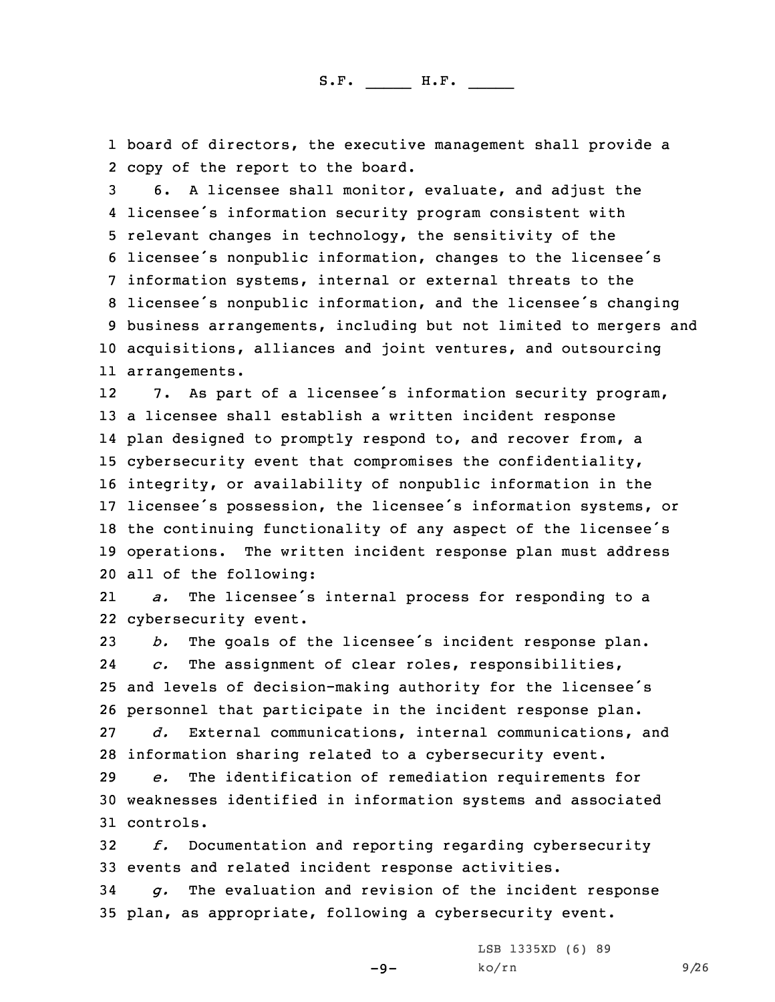1 board of directors, the executive management shall provide <sup>a</sup> 2 copy of the report to the board.

 6. <sup>A</sup> licensee shall monitor, evaluate, and adjust the licensee's information security program consistent with relevant changes in technology, the sensitivity of the licensee's nonpublic information, changes to the licensee's information systems, internal or external threats to the licensee's nonpublic information, and the licensee's changing business arrangements, including but not limited to mergers and acquisitions, alliances and joint ventures, and outsourcing arrangements.

12 7. As part of <sup>a</sup> licensee's information security program, <sup>a</sup> licensee shall establish <sup>a</sup> written incident response plan designed to promptly respond to, and recover from, <sup>a</sup> cybersecurity event that compromises the confidentiality, integrity, or availability of nonpublic information in the licensee's possession, the licensee's information systems, or the continuing functionality of any aspect of the licensee's operations. The written incident response plan must address all of the following:

21 *a.* The licensee's internal process for responding to <sup>a</sup> 22 cybersecurity event.

 *b.* The goals of the licensee's incident response plan. 24 *c.* The assignment of clear roles, responsibilities, and levels of decision-making authority for the licensee's personnel that participate in the incident response plan. *d.* External communications, internal communications, and

 information sharing related to <sup>a</sup> cybersecurity event. *e.* The identification of remediation requirements for weaknesses identified in information systems and associated controls.

32 *f.* Documentation and reporting regarding cybersecurity 33 events and related incident response activities.

34 *g.* The evaluation and revision of the incident response 35 plan, as appropriate, following <sup>a</sup> cybersecurity event.

 $-9-$ 

LSB 1335XD (6) 89 ko/rn 9/26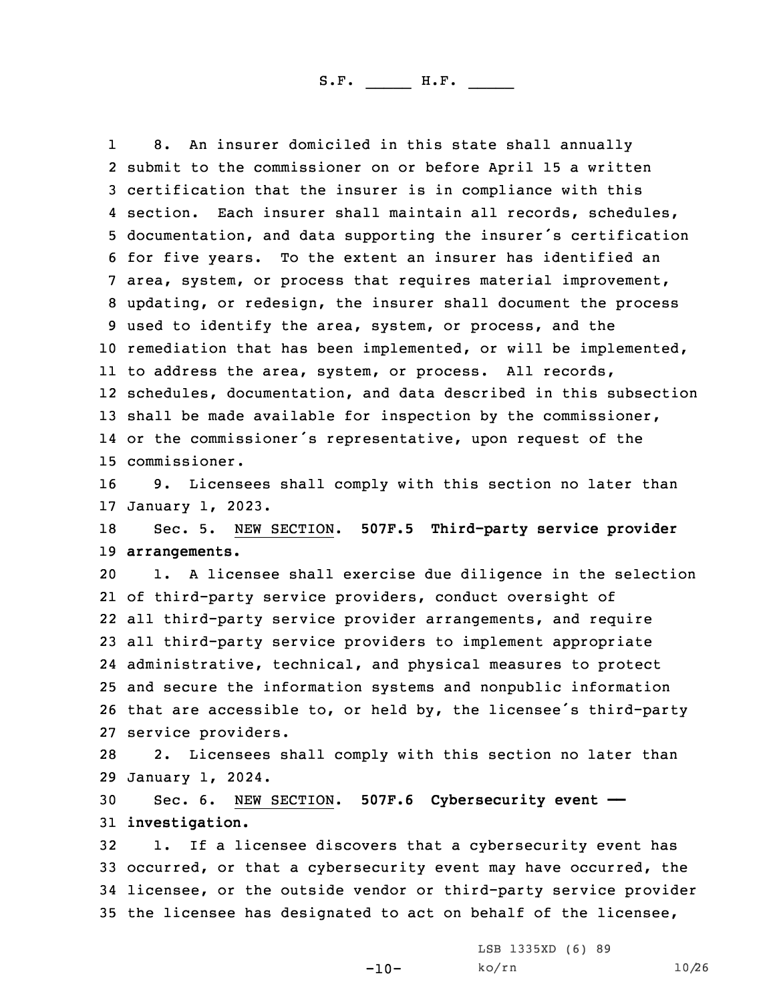1 8. An insurer domiciled in this state shall annually submit to the commissioner on or before April 15 <sup>a</sup> written certification that the insurer is in compliance with this section. Each insurer shall maintain all records, schedules, documentation, and data supporting the insurer's certification for five years. To the extent an insurer has identified an area, system, or process that requires material improvement, updating, or redesign, the insurer shall document the process used to identify the area, system, or process, and the remediation that has been implemented, or will be implemented, to address the area, system, or process. All records, schedules, documentation, and data described in this subsection 13 shall be made available for inspection by the commissioner, or the commissioner's representative, upon request of the commissioner.

16 9. Licensees shall comply with this section no later than 17 January 1, 2023.

18 Sec. 5. NEW SECTION. **507F.5 Third-party service provider** 19 **arrangements.**

 1. <sup>A</sup> licensee shall exercise due diligence in the selection of third-party service providers, conduct oversight of all third-party service provider arrangements, and require all third-party service providers to implement appropriate administrative, technical, and physical measures to protect and secure the information systems and nonpublic information that are accessible to, or held by, the licensee's third-party service providers.

28 2. Licensees shall comply with this section no later than 29 January 1, 2024.

30 Sec. 6. NEW SECTION. **507F.6 Cybersecurity event ——** 31 **investigation.**

 1. If <sup>a</sup> licensee discovers that <sup>a</sup> cybersecurity event has occurred, or that <sup>a</sup> cybersecurity event may have occurred, the licensee, or the outside vendor or third-party service provider the licensee has designated to act on behalf of the licensee,

-10-

LSB 1335XD (6) 89 ko/rn 10/26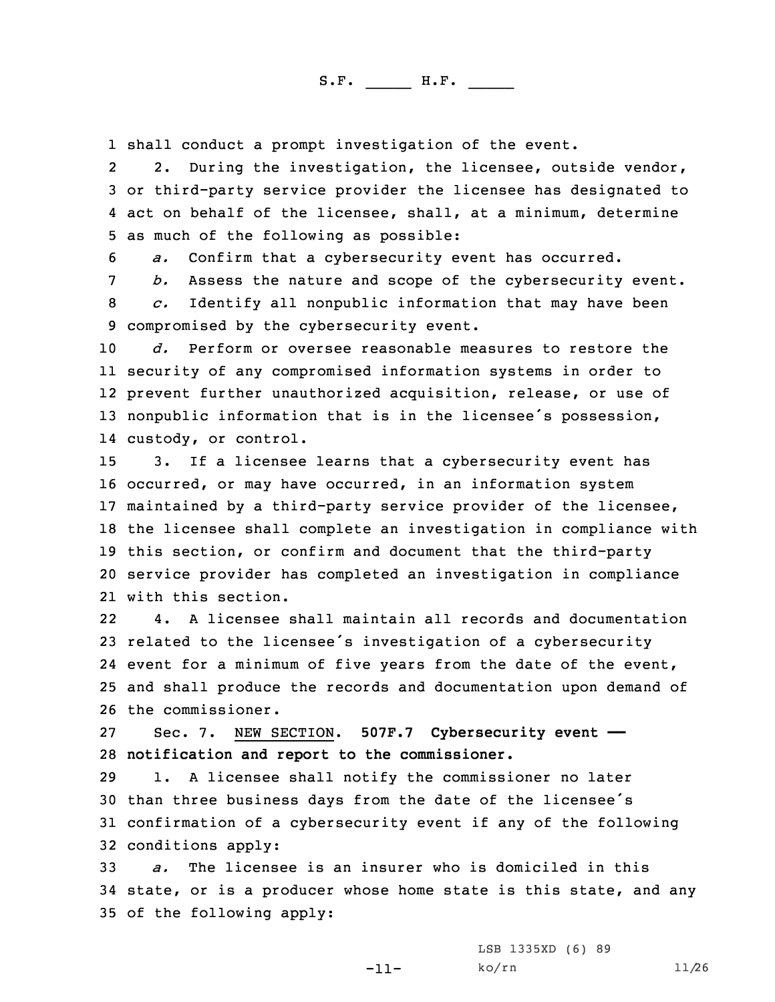1 shall conduct <sup>a</sup> prompt investigation of the event.

2 2. During the investigation, the licensee, outside vendor, 3 or third-party service provider the licensee has designated to 4 act on behalf of the licensee, shall, at <sup>a</sup> minimum, determine 5 as much of the following as possible:

6 *a.* Confirm that <sup>a</sup> cybersecurity event has occurred.

7 *b.* Assess the nature and scope of the cybersecurity event.

8 *c.* Identify all nonpublic information that may have been 9 compromised by the cybersecurity event.

 *d.* Perform or oversee reasonable measures to restore the security of any compromised information systems in order to prevent further unauthorized acquisition, release, or use of 13 nonpublic information that is in the licensee's possession, custody, or control.

 3. If <sup>a</sup> licensee learns that <sup>a</sup> cybersecurity event has occurred, or may have occurred, in an information system maintained by <sup>a</sup> third-party service provider of the licensee, the licensee shall complete an investigation in compliance with this section, or confirm and document that the third-party service provider has completed an investigation in compliance with this section.

22 4. A licensee shall maintain all records and documentation related to the licensee's investigation of <sup>a</sup> cybersecurity event for <sup>a</sup> minimum of five years from the date of the event, and shall produce the records and documentation upon demand of the commissioner.

27 Sec. 7. NEW SECTION. **507F.7 Cybersecurity event ——** 28 **notification and report to the commissioner.**

 1. <sup>A</sup> licensee shall notify the commissioner no later than three business days from the date of the licensee's confirmation of <sup>a</sup> cybersecurity event if any of the following conditions apply:

33 *a.* The licensee is an insurer who is domiciled in this 34 state, or is <sup>a</sup> producer whose home state is this state, and any 35 of the following apply:

-11-

LSB 1335XD (6) 89 ko/rn 11/26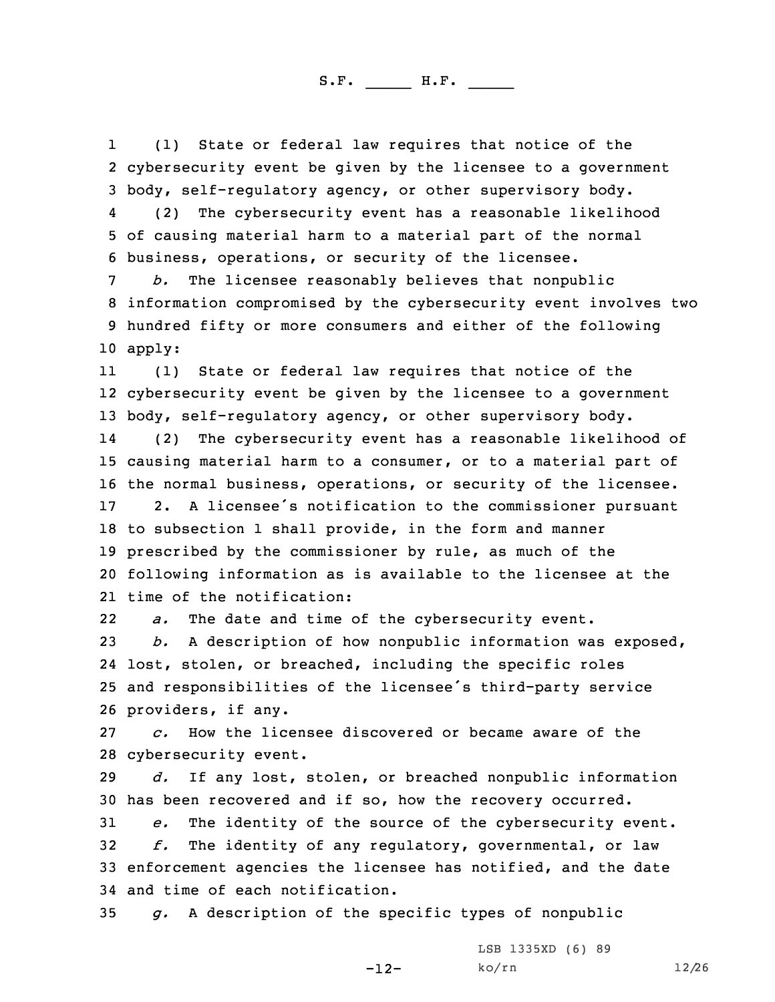1 (1) State or federal law requires that notice of the 2 cybersecurity event be given by the licensee to <sup>a</sup> government 3 body, self-regulatory agency, or other supervisory body.

4 (2) The cybersecurity event has <sup>a</sup> reasonable likelihood 5 of causing material harm to <sup>a</sup> material part of the normal 6 business, operations, or security of the licensee.

 *b.* The licensee reasonably believes that nonpublic information compromised by the cybersecurity event involves two hundred fifty or more consumers and either of the following 10 apply:

11 (1) State or federal law requires that notice of the cybersecurity event be given by the licensee to <sup>a</sup> government body, self-regulatory agency, or other supervisory body. 14 (2) The cybersecurity event has <sup>a</sup> reasonable likelihood of causing material harm to <sup>a</sup> consumer, or to <sup>a</sup> material part of the normal business, operations, or security of the licensee. 2. <sup>A</sup> licensee's notification to the commissioner pursuant to subsection 1 shall provide, in the form and manner prescribed by the commissioner by rule, as much of the following information as is available to the licensee at the time of the notification:

22*a.* The date and time of the cybersecurity event.

 *b.* <sup>A</sup> description of how nonpublic information was exposed, lost, stolen, or breached, including the specific roles and responsibilities of the licensee's third-party service providers, if any.

27 *c.* How the licensee discovered or became aware of the 28 cybersecurity event.

29 *d.* If any lost, stolen, or breached nonpublic information 30 has been recovered and if so, how the recovery occurred.

 *e.* The identity of the source of the cybersecurity event. *f.* The identity of any regulatory, governmental, or law enforcement agencies the licensee has notified, and the date and time of each notification.

-12-

35 *g.* <sup>A</sup> description of the specific types of nonpublic

LSB 1335XD (6) 89 ko/rn 12/26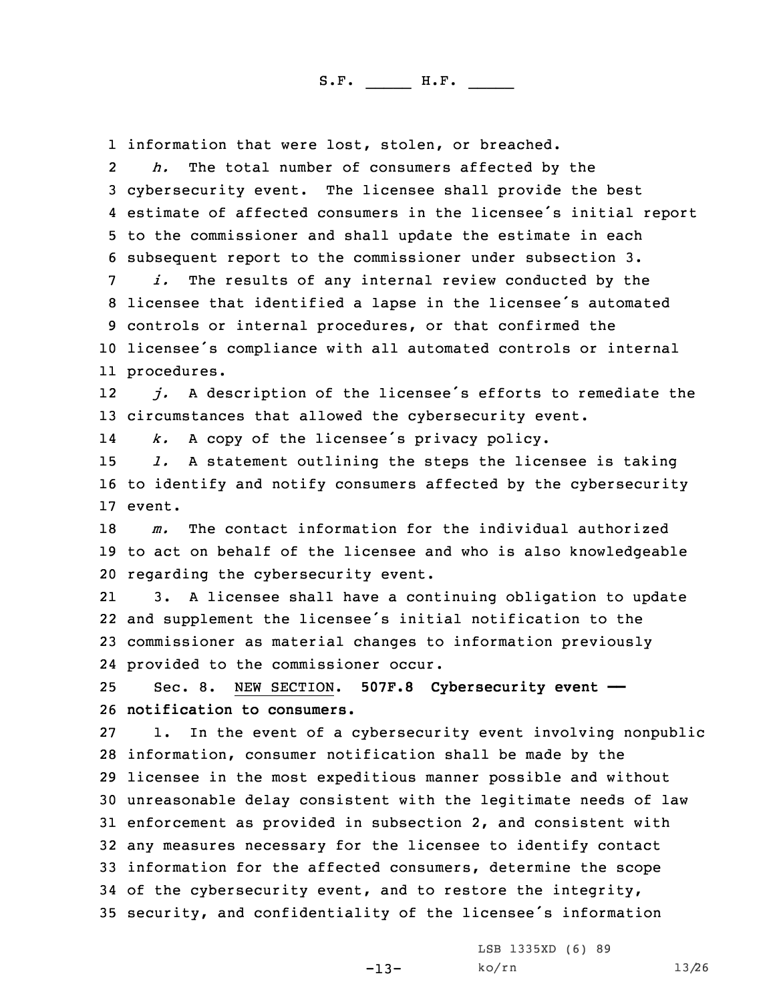1 information that were lost, stolen, or breached.

2 *h.* The total number of consumers affected by the cybersecurity event. The licensee shall provide the best estimate of affected consumers in the licensee's initial report to the commissioner and shall update the estimate in each subsequent report to the commissioner under subsection 3.

 *i.* The results of any internal review conducted by the licensee that identified <sup>a</sup> lapse in the licensee's automated controls or internal procedures, or that confirmed the licensee's compliance with all automated controls or internal procedures.

12 *j.* <sup>A</sup> description of the licensee's efforts to remediate the 13 circumstances that allowed the cybersecurity event.

14*k.* <sup>A</sup> copy of the licensee's privacy policy.

15 *l.* <sup>A</sup> statement outlining the steps the licensee is taking 16 to identify and notify consumers affected by the cybersecurity 17 event.

18 *m.* The contact information for the individual authorized 19 to act on behalf of the licensee and who is also knowledgeable 20 regarding the cybersecurity event.

21 3. <sup>A</sup> licensee shall have <sup>a</sup> continuing obligation to update 22 and supplement the licensee's initial notification to the 23 commissioner as material changes to information previously 24 provided to the commissioner occur.

25 Sec. 8. NEW SECTION. **507F.8 Cybersecurity event ——** 26 **notification to consumers.**

 1. In the event of <sup>a</sup> cybersecurity event involving nonpublic information, consumer notification shall be made by the licensee in the most expeditious manner possible and without unreasonable delay consistent with the legitimate needs of law enforcement as provided in subsection 2, and consistent with any measures necessary for the licensee to identify contact information for the affected consumers, determine the scope of the cybersecurity event, and to restore the integrity, security, and confidentiality of the licensee's information

-13-

LSB 1335XD (6) 89 ko/rn 13/26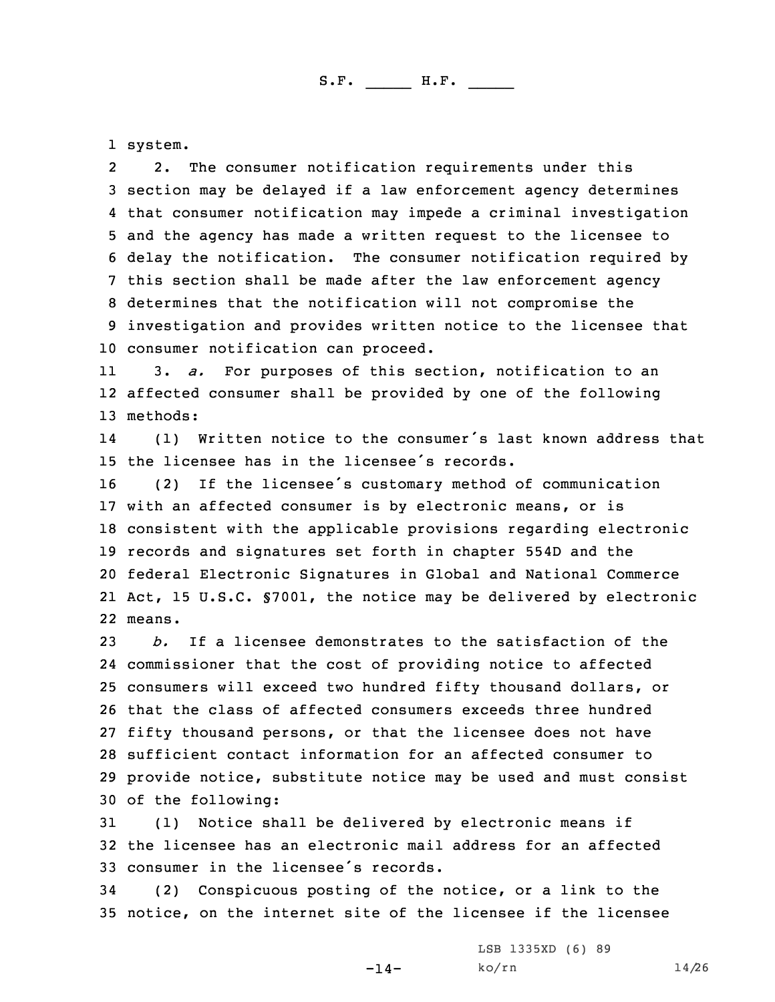1 system.

2 2. The consumer notification requirements under this section may be delayed if <sup>a</sup> law enforcement agency determines that consumer notification may impede <sup>a</sup> criminal investigation and the agency has made <sup>a</sup> written request to the licensee to delay the notification. The consumer notification required by this section shall be made after the law enforcement agency determines that the notification will not compromise the investigation and provides written notice to the licensee that consumer notification can proceed.

11 3. *a.* For purposes of this section, notification to an 12 affected consumer shall be provided by one of the following 13 methods:

14 (1) Written notice to the consumer's last known address that 15 the licensee has in the licensee's records.

 (2) If the licensee's customary method of communication with an affected consumer is by electronic means, or is consistent with the applicable provisions regarding electronic records and signatures set forth in chapter 554D and the federal Electronic Signatures in Global and National Commerce Act, 15 U.S.C. §7001, the notice may be delivered by electronic 22 means.

 *b.* If <sup>a</sup> licensee demonstrates to the satisfaction of the commissioner that the cost of providing notice to affected consumers will exceed two hundred fifty thousand dollars, or that the class of affected consumers exceeds three hundred fifty thousand persons, or that the licensee does not have sufficient contact information for an affected consumer to provide notice, substitute notice may be used and must consist of the following:

31 (1) Notice shall be delivered by electronic means if 32 the licensee has an electronic mail address for an affected 33 consumer in the licensee's records.

34 (2) Conspicuous posting of the notice, or <sup>a</sup> link to the 35 notice, on the internet site of the licensee if the licensee

-14-

LSB 1335XD (6) 89 ko/rn 14/26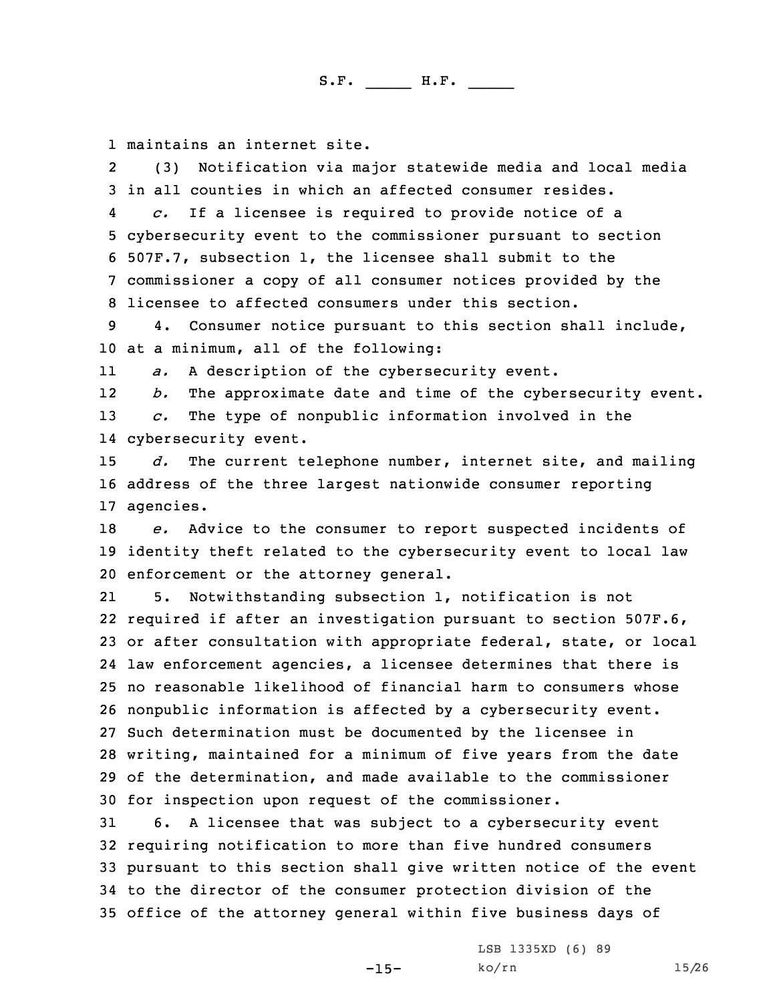1 maintains an internet site.

2 (3) Notification via major statewide media and local media 3 in all counties in which an affected consumer resides.

4 *c.* If <sup>a</sup> licensee is required to provide notice of <sup>a</sup> cybersecurity event to the commissioner pursuant to section 507F.7, subsection 1, the licensee shall submit to the commissioner <sup>a</sup> copy of all consumer notices provided by the licensee to affected consumers under this section.

9 4. Consumer notice pursuant to this section shall include, 10 at <sup>a</sup> minimum, all of the following:

11*a.* <sup>A</sup> description of the cybersecurity event.

12 *b.* The approximate date and time of the cybersecurity event. 13 *c.* The type of nonpublic information involved in the 14 cybersecurity event.

15 *d.* The current telephone number, internet site, and mailing 16 address of the three largest nationwide consumer reporting 17 agencies.

18 *e.* Advice to the consumer to report suspected incidents of 19 identity theft related to the cybersecurity event to local law 20 enforcement or the attorney general.

21 5. Notwithstanding subsection 1, notification is not required if after an investigation pursuant to section 507F.6, or after consultation with appropriate federal, state, or local law enforcement agencies, <sup>a</sup> licensee determines that there is no reasonable likelihood of financial harm to consumers whose nonpublic information is affected by <sup>a</sup> cybersecurity event. Such determination must be documented by the licensee in writing, maintained for <sup>a</sup> minimum of five years from the date of the determination, and made available to the commissioner for inspection upon request of the commissioner.

 6. <sup>A</sup> licensee that was subject to <sup>a</sup> cybersecurity event requiring notification to more than five hundred consumers pursuant to this section shall give written notice of the event to the director of the consumer protection division of the office of the attorney general within five business days of

-15-

LSB 1335XD (6) 89 ko/rn 15/26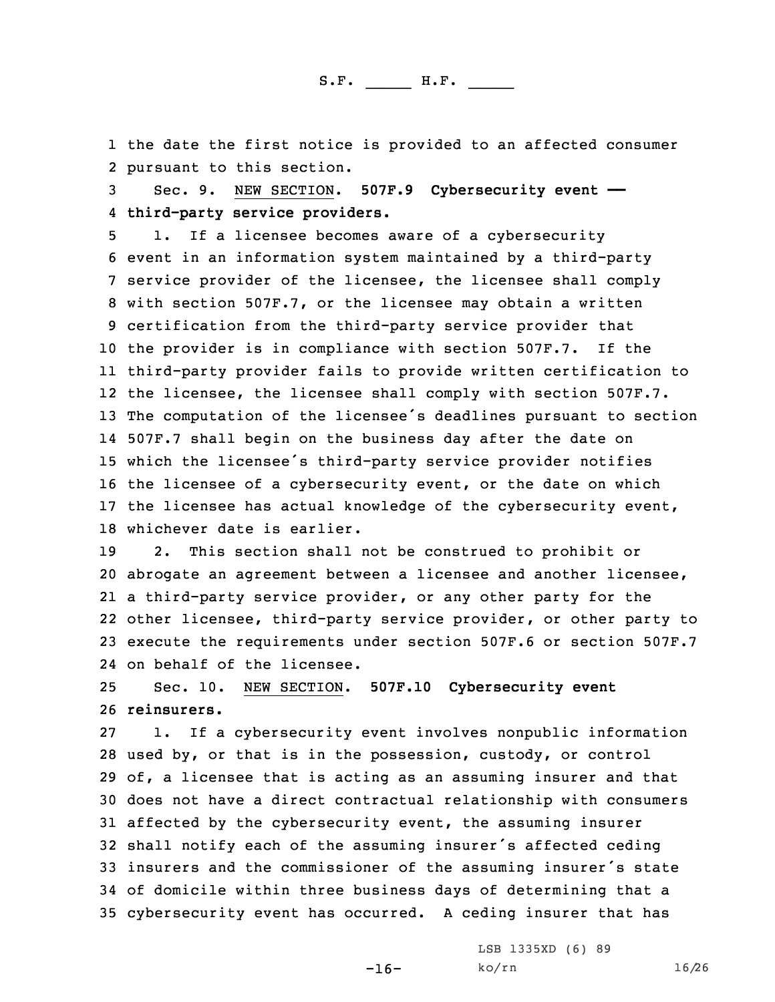1 the date the first notice is provided to an affected consumer 2 pursuant to this section.

3 Sec. 9. NEW SECTION. **507F.9 Cybersecurity event ——** 4 **third-party service providers.**

 1. If <sup>a</sup> licensee becomes aware of <sup>a</sup> cybersecurity event in an information system maintained by <sup>a</sup> third-party service provider of the licensee, the licensee shall comply with section 507F.7, or the licensee may obtain <sup>a</sup> written certification from the third-party service provider that the provider is in compliance with section 507F.7. If the third-party provider fails to provide written certification to the licensee, the licensee shall comply with section 507F.7. The computation of the licensee's deadlines pursuant to section 507F.7 shall begin on the business day after the date on which the licensee's third-party service provider notifies the licensee of <sup>a</sup> cybersecurity event, or the date on which the licensee has actual knowledge of the cybersecurity event, whichever date is earlier.

 2. This section shall not be construed to prohibit or abrogate an agreement between <sup>a</sup> licensee and another licensee, <sup>a</sup> third-party service provider, or any other party for the other licensee, third-party service provider, or other party to execute the requirements under section 507F.6 or section 507F.7 on behalf of the licensee.

25 Sec. 10. NEW SECTION. **507F.10 Cybersecurity event** 26 **reinsurers.**

 1. If <sup>a</sup> cybersecurity event involves nonpublic information used by, or that is in the possession, custody, or control of, <sup>a</sup> licensee that is acting as an assuming insurer and that does not have <sup>a</sup> direct contractual relationship with consumers affected by the cybersecurity event, the assuming insurer shall notify each of the assuming insurer's affected ceding insurers and the commissioner of the assuming insurer's state of domicile within three business days of determining that <sup>a</sup> cybersecurity event has occurred. <sup>A</sup> ceding insurer that has

-16-

LSB 1335XD (6) 89 ko/rn 16/26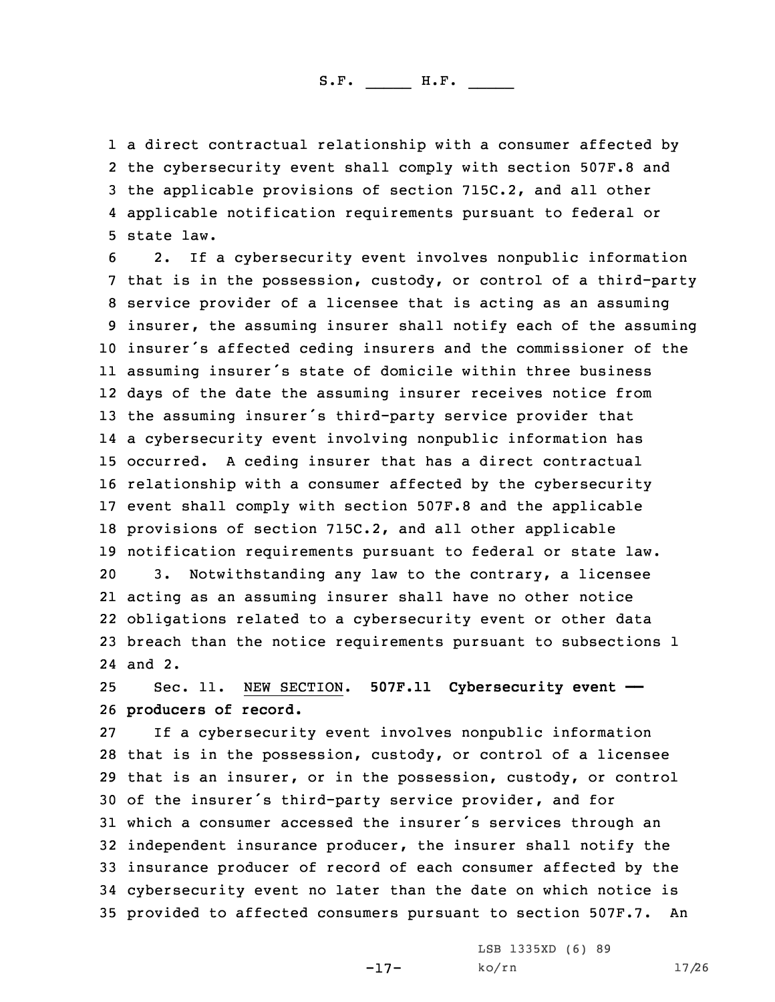<sup>a</sup> direct contractual relationship with <sup>a</sup> consumer affected by the cybersecurity event shall comply with section 507F.8 and the applicable provisions of section 715C.2, and all other applicable notification requirements pursuant to federal or state law.

 2. If <sup>a</sup> cybersecurity event involves nonpublic information that is in the possession, custody, or control of <sup>a</sup> third-party service provider of <sup>a</sup> licensee that is acting as an assuming insurer, the assuming insurer shall notify each of the assuming insurer's affected ceding insurers and the commissioner of the assuming insurer's state of domicile within three business days of the date the assuming insurer receives notice from the assuming insurer's third-party service provider that <sup>a</sup> cybersecurity event involving nonpublic information has occurred. <sup>A</sup> ceding insurer that has <sup>a</sup> direct contractual relationship with <sup>a</sup> consumer affected by the cybersecurity event shall comply with section 507F.8 and the applicable provisions of section 715C.2, and all other applicable notification requirements pursuant to federal or state law. 3. Notwithstanding any law to the contrary, <sup>a</sup> licensee acting as an assuming insurer shall have no other notice obligations related to <sup>a</sup> cybersecurity event or other data breach than the notice requirements pursuant to subsections 1 24 and 2.

25 Sec. 11. NEW SECTION. **507F.11 Cybersecurity event ——** 26 **producers of record.**

 If <sup>a</sup> cybersecurity event involves nonpublic information that is in the possession, custody, or control of <sup>a</sup> licensee that is an insurer, or in the possession, custody, or control of the insurer's third-party service provider, and for which <sup>a</sup> consumer accessed the insurer's services through an independent insurance producer, the insurer shall notify the insurance producer of record of each consumer affected by the cybersecurity event no later than the date on which notice is provided to affected consumers pursuant to section 507F.7. An

-17-

LSB 1335XD (6) 89 ko/rn 17/26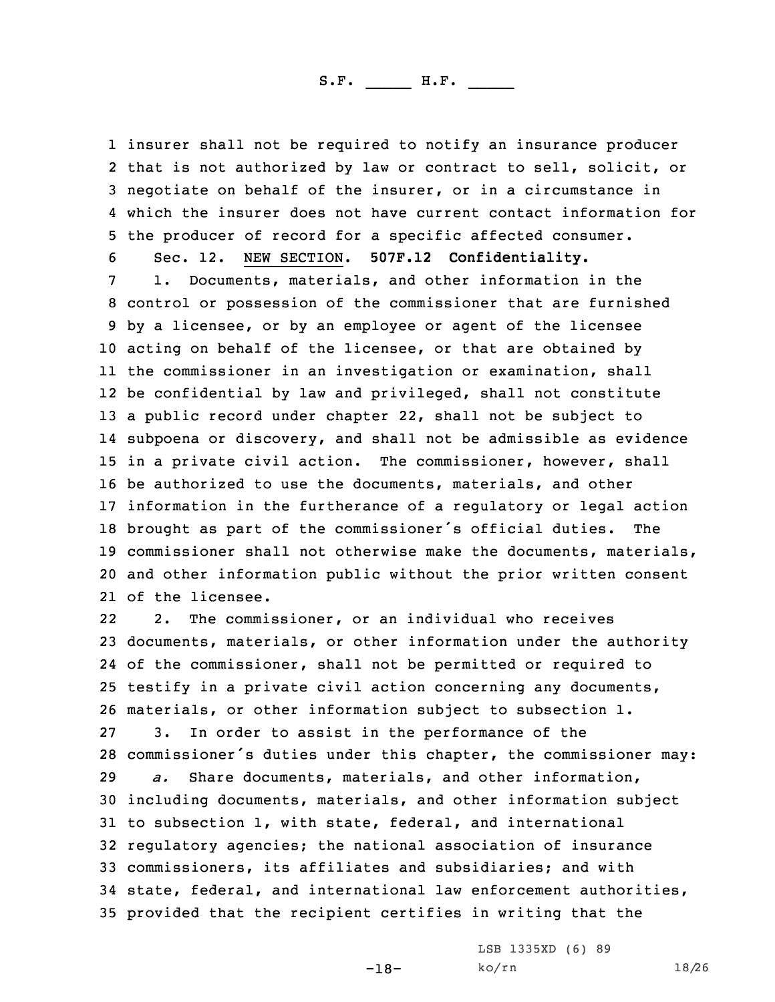insurer shall not be required to notify an insurance producer that is not authorized by law or contract to sell, solicit, or negotiate on behalf of the insurer, or in <sup>a</sup> circumstance in which the insurer does not have current contact information for the producer of record for <sup>a</sup> specific affected consumer.

6 Sec. 12. NEW SECTION. **507F.12 Confidentiality.**

 1. Documents, materials, and other information in the control or possession of the commissioner that are furnished by <sup>a</sup> licensee, or by an employee or agent of the licensee acting on behalf of the licensee, or that are obtained by the commissioner in an investigation or examination, shall be confidential by law and privileged, shall not constitute <sup>a</sup> public record under chapter 22, shall not be subject to subpoena or discovery, and shall not be admissible as evidence in <sup>a</sup> private civil action. The commissioner, however, shall be authorized to use the documents, materials, and other information in the furtherance of <sup>a</sup> regulatory or legal action brought as part of the commissioner's official duties. The commissioner shall not otherwise make the documents, materials, and other information public without the prior written consent of the licensee.

22 2. The commissioner, or an individual who receives documents, materials, or other information under the authority of the commissioner, shall not be permitted or required to testify in <sup>a</sup> private civil action concerning any documents, materials, or other information subject to subsection 1. 3. In order to assist in the performance of the commissioner's duties under this chapter, the commissioner may: *a.* Share documents, materials, and other information, including documents, materials, and other information subject to subsection 1, with state, federal, and international regulatory agencies; the national association of insurance commissioners, its affiliates and subsidiaries; and with state, federal, and international law enforcement authorities, provided that the recipient certifies in writing that the

-18-

LSB 1335XD (6) 89 ko/rn 18/26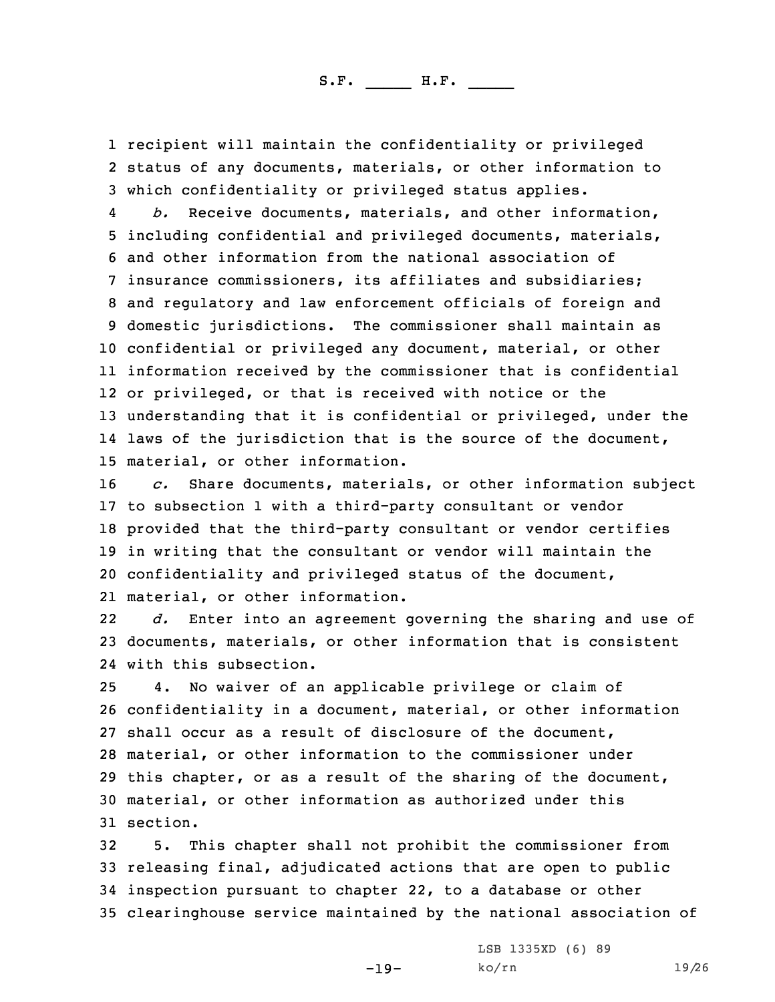1 recipient will maintain the confidentiality or privileged 2 status of any documents, materials, or other information to 3 which confidentiality or privileged status applies.

4 *b.* Receive documents, materials, and other information, including confidential and privileged documents, materials, and other information from the national association of insurance commissioners, its affiliates and subsidiaries; and regulatory and law enforcement officials of foreign and domestic jurisdictions. The commissioner shall maintain as confidential or privileged any document, material, or other information received by the commissioner that is confidential or privileged, or that is received with notice or the understanding that it is confidential or privileged, under the laws of the jurisdiction that is the source of the document, material, or other information.

 *c.* Share documents, materials, or other information subject to subsection 1 with <sup>a</sup> third-party consultant or vendor provided that the third-party consultant or vendor certifies in writing that the consultant or vendor will maintain the confidentiality and privileged status of the document, material, or other information.

22 *d.* Enter into an agreement governing the sharing and use of 23 documents, materials, or other information that is consistent 24 with this subsection.

 4. No waiver of an applicable privilege or claim of confidentiality in <sup>a</sup> document, material, or other information shall occur as <sup>a</sup> result of disclosure of the document, material, or other information to the commissioner under this chapter, or as <sup>a</sup> result of the sharing of the document, material, or other information as authorized under this 31 section.

 5. This chapter shall not prohibit the commissioner from releasing final, adjudicated actions that are open to public inspection pursuant to chapter 22, to <sup>a</sup> database or other clearinghouse service maintained by the national association of

-19-

LSB 1335XD (6) 89 ko/rn 19/26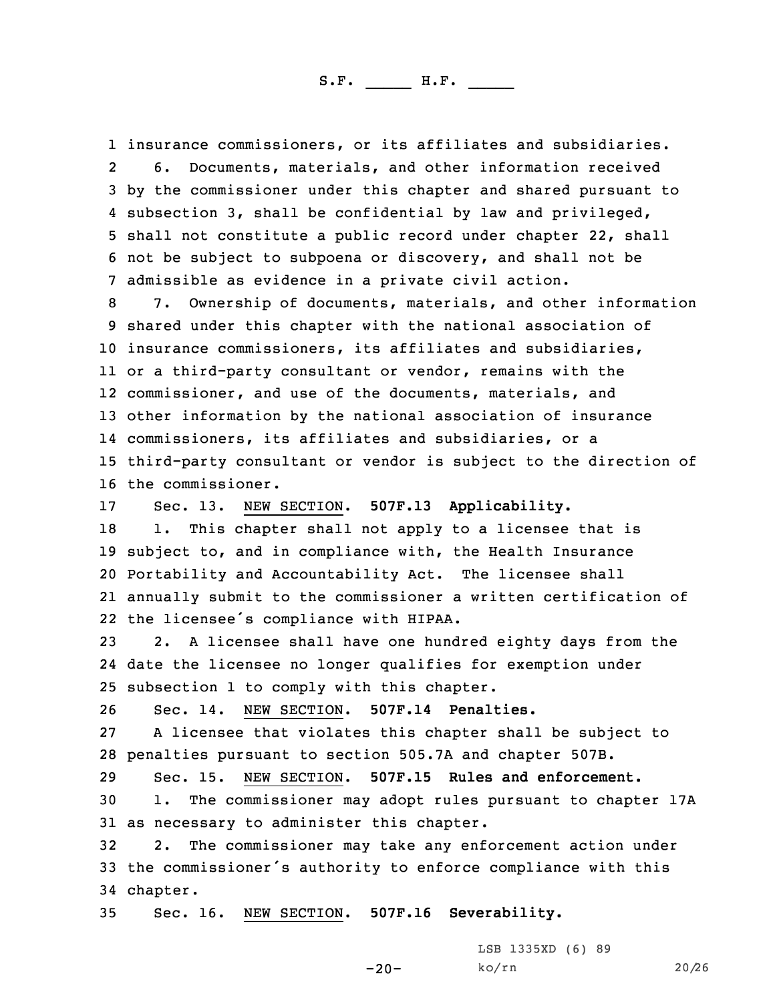insurance commissioners, or its affiliates and subsidiaries. 2 6. Documents, materials, and other information received by the commissioner under this chapter and shared pursuant to subsection 3, shall be confidential by law and privileged, shall not constitute <sup>a</sup> public record under chapter 22, shall not be subject to subpoena or discovery, and shall not be admissible as evidence in <sup>a</sup> private civil action.

 7. Ownership of documents, materials, and other information shared under this chapter with the national association of insurance commissioners, its affiliates and subsidiaries, or <sup>a</sup> third-party consultant or vendor, remains with the commissioner, and use of the documents, materials, and other information by the national association of insurance commissioners, its affiliates and subsidiaries, or <sup>a</sup> third-party consultant or vendor is subject to the direction of the commissioner.

 Sec. 13. NEW SECTION. **507F.13 Applicability.** 18 1. This chapter shall not apply to a licensee that is subject to, and in compliance with, the Health Insurance Portability and Accountability Act. The licensee shall annually submit to the commissioner <sup>a</sup> written certification of the licensee's compliance with HIPAA.

23 2. <sup>A</sup> licensee shall have one hundred eighty days from the 24 date the licensee no longer qualifies for exemption under 25 subsection 1 to comply with this chapter.

26 Sec. 14. NEW SECTION. **507F.14 Penalties.**

27 <sup>A</sup> licensee that violates this chapter shall be subject to 28 penalties pursuant to section 505.7A and chapter 507B.

29 Sec. 15. NEW SECTION. **507F.15 Rules and enforcement.** 30 1. The commissioner may adopt rules pursuant to chapter 17A 31 as necessary to administer this chapter.

32 2. The commissioner may take any enforcement action under <sup>33</sup> the commissioner's authority to enforce compliance with this 34 chapter.

-20-

35 Sec. 16. NEW SECTION. **507F.16 Severability.**

LSB 1335XD (6) 89 ko/rn 20/26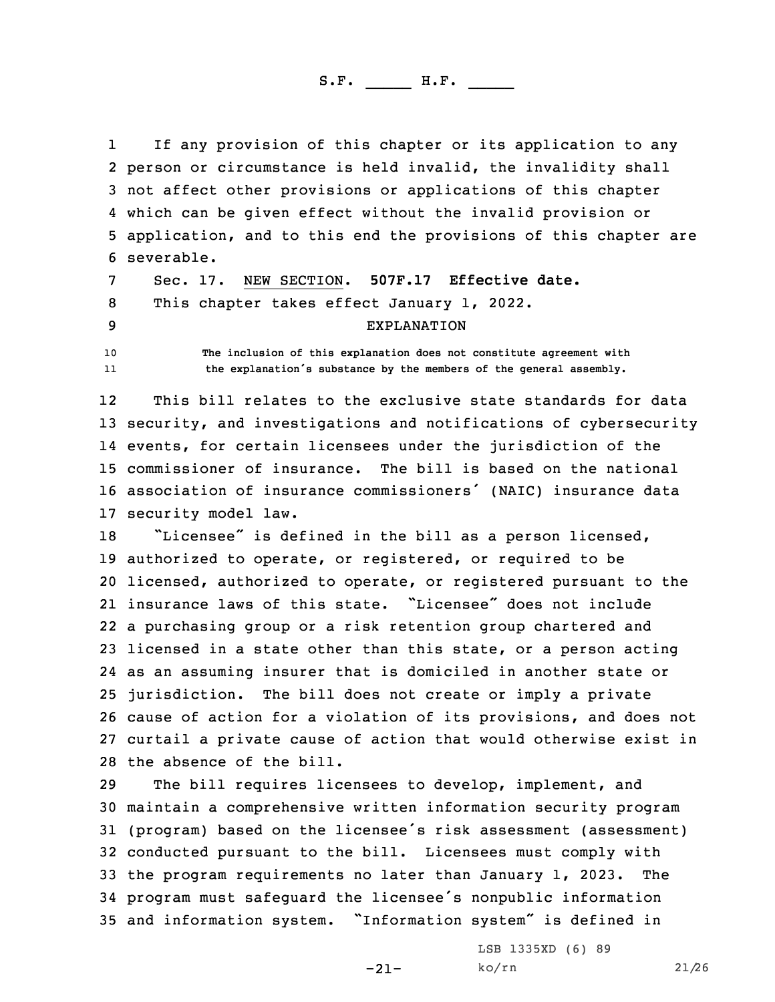1 If any provision of this chapter or its application to any person or circumstance is held invalid, the invalidity shall not affect other provisions or applications of this chapter which can be given effect without the invalid provision or application, and to this end the provisions of this chapter are severable.

7 Sec. 17. NEW SECTION. **507F.17 Effective date.** 8 This chapter takes effect January 1, 2022. 9 EXPLANATION

10 **The inclusion of this explanation does not constitute agreement with** 11**the explanation's substance by the members of the general assembly.**

12 This bill relates to the exclusive state standards for data security, and investigations and notifications of cybersecurity events, for certain licensees under the jurisdiction of the commissioner of insurance. The bill is based on the national association of insurance commissioners' (NAIC) insurance data security model law.

 "Licensee" is defined in the bill as <sup>a</sup> person licensed, authorized to operate, or registered, or required to be licensed, authorized to operate, or registered pursuant to the insurance laws of this state. "Licensee" does not include <sup>a</sup> purchasing group or <sup>a</sup> risk retention group chartered and licensed in <sup>a</sup> state other than this state, or <sup>a</sup> person acting as an assuming insurer that is domiciled in another state or jurisdiction. The bill does not create or imply <sup>a</sup> private cause of action for <sup>a</sup> violation of its provisions, and does not curtail <sup>a</sup> private cause of action that would otherwise exist in the absence of the bill.

 The bill requires licensees to develop, implement, and maintain <sup>a</sup> comprehensive written information security program (program) based on the licensee's risk assessment (assessment) conducted pursuant to the bill. Licensees must comply with the program requirements no later than January 1, 2023. The program must safeguard the licensee's nonpublic information and information system. "Information system" is defined in

> LSB 1335XD (6) 89 ko/rn 21/26

 $-21-$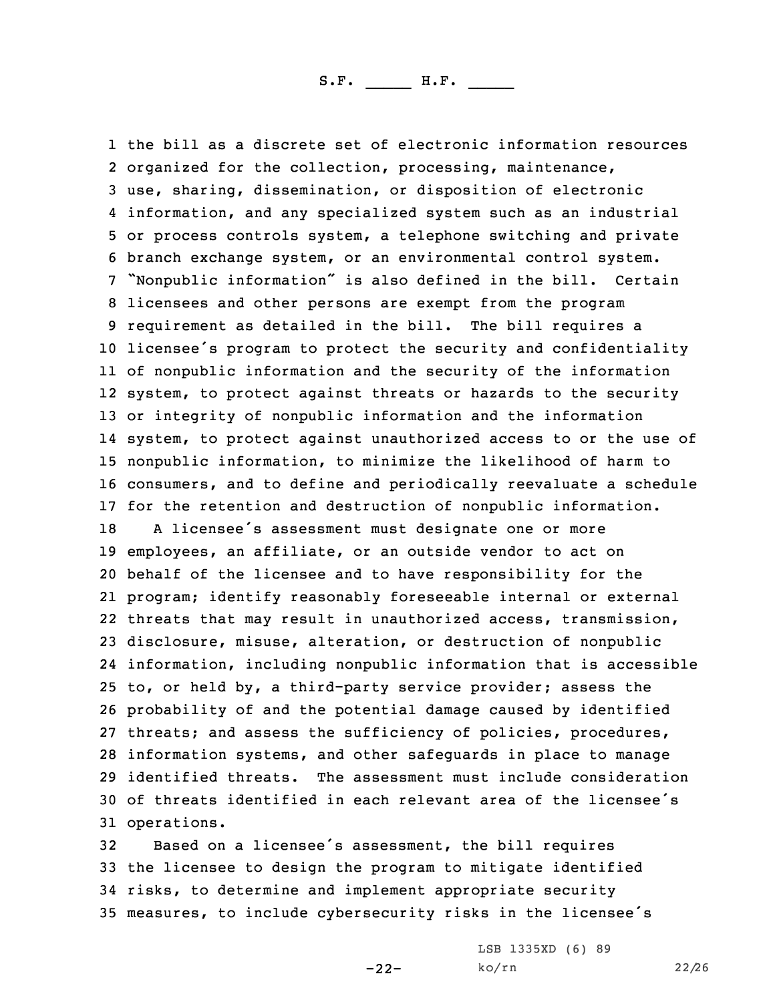the bill as <sup>a</sup> discrete set of electronic information resources organized for the collection, processing, maintenance, use, sharing, dissemination, or disposition of electronic information, and any specialized system such as an industrial or process controls system, <sup>a</sup> telephone switching and private branch exchange system, or an environmental control system. "Nonpublic information" is also defined in the bill. Certain licensees and other persons are exempt from the program requirement as detailed in the bill. The bill requires <sup>a</sup> licensee's program to protect the security and confidentiality of nonpublic information and the security of the information system, to protect against threats or hazards to the security or integrity of nonpublic information and the information system, to protect against unauthorized access to or the use of nonpublic information, to minimize the likelihood of harm to consumers, and to define and periodically reevaluate <sup>a</sup> schedule for the retention and destruction of nonpublic information. <sup>A</sup> licensee's assessment must designate one or more employees, an affiliate, or an outside vendor to act on behalf of the licensee and to have responsibility for the program; identify reasonably foreseeable internal or external threats that may result in unauthorized access, transmission, disclosure, misuse, alteration, or destruction of nonpublic information, including nonpublic information that is accessible to, or held by, <sup>a</sup> third-party service provider; assess the probability of and the potential damage caused by identified threats; and assess the sufficiency of policies, procedures, information systems, and other safeguards in place to manage identified threats. The assessment must include consideration of threats identified in each relevant area of the licensee's operations.

 Based on <sup>a</sup> licensee's assessment, the bill requires the licensee to design the program to mitigate identified risks, to determine and implement appropriate security measures, to include cybersecurity risks in the licensee's

-22-

LSB 1335XD (6) 89 ko/rn 22/26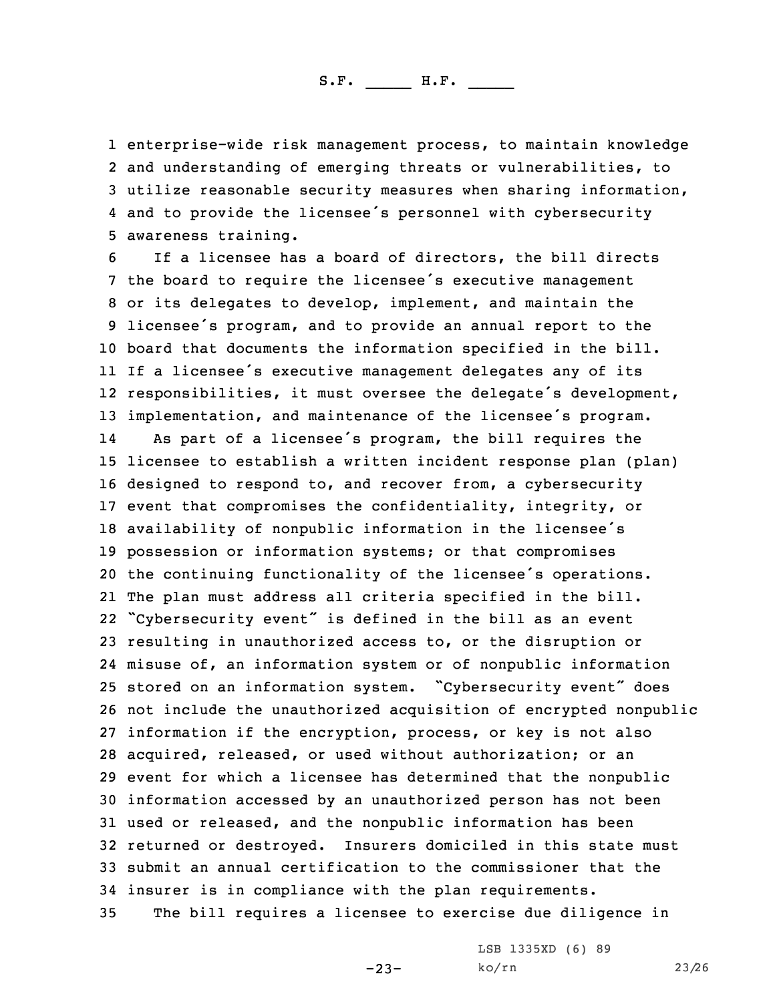enterprise-wide risk management process, to maintain knowledge and understanding of emerging threats or vulnerabilities, to utilize reasonable security measures when sharing information, and to provide the licensee's personnel with cybersecurity awareness training.

 If <sup>a</sup> licensee has <sup>a</sup> board of directors, the bill directs the board to require the licensee's executive management or its delegates to develop, implement, and maintain the licensee's program, and to provide an annual report to the board that documents the information specified in the bill. If <sup>a</sup> licensee's executive management delegates any of its responsibilities, it must oversee the delegate's development, implementation, and maintenance of the licensee's program. 14 As part of <sup>a</sup> licensee's program, the bill requires the licensee to establish <sup>a</sup> written incident response plan (plan) designed to respond to, and recover from, <sup>a</sup> cybersecurity event that compromises the confidentiality, integrity, or availability of nonpublic information in the licensee's possession or information systems; or that compromises the continuing functionality of the licensee's operations. The plan must address all criteria specified in the bill. "Cybersecurity event" is defined in the bill as an event resulting in unauthorized access to, or the disruption or misuse of, an information system or of nonpublic information stored on an information system. "Cybersecurity event" does not include the unauthorized acquisition of encrypted nonpublic information if the encryption, process, or key is not also acquired, released, or used without authorization; or an event for which <sup>a</sup> licensee has determined that the nonpublic information accessed by an unauthorized person has not been used or released, and the nonpublic information has been returned or destroyed. Insurers domiciled in this state must submit an annual certification to the commissioner that the insurer is in compliance with the plan requirements. The bill requires <sup>a</sup> licensee to exercise due diligence in

 $-23-$ 

LSB 1335XD (6) 89 ko/rn 23/26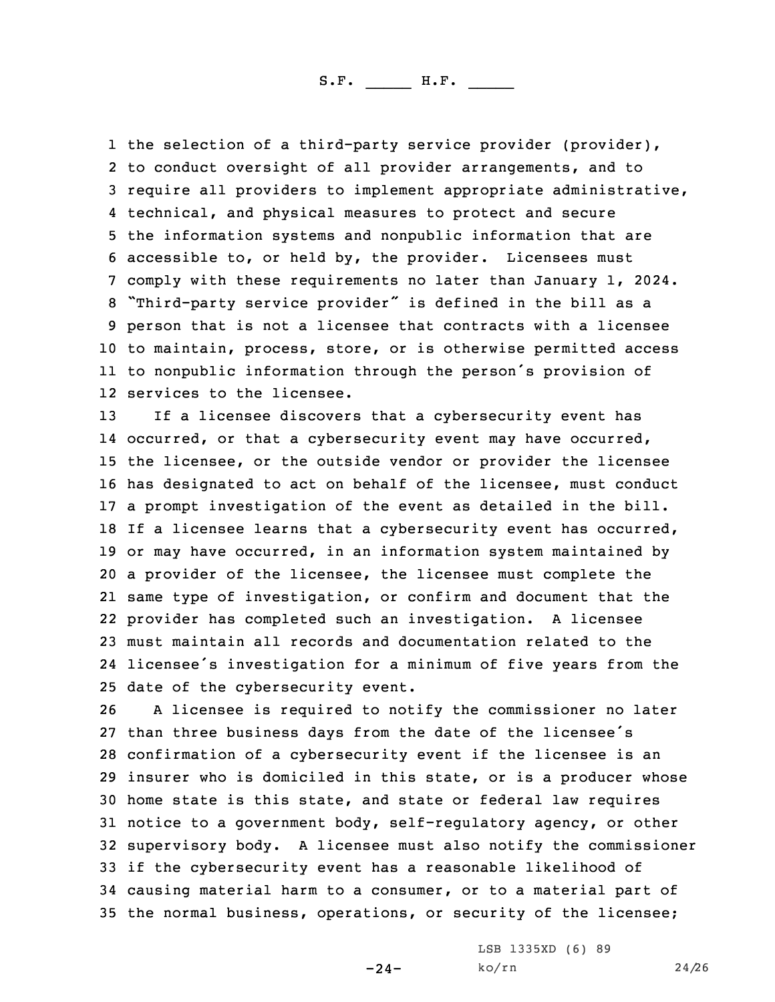the selection of <sup>a</sup> third-party service provider (provider), to conduct oversight of all provider arrangements, and to require all providers to implement appropriate administrative, technical, and physical measures to protect and secure the information systems and nonpublic information that are accessible to, or held by, the provider. Licensees must comply with these requirements no later than January 1, 2024. "Third-party service provider" is defined in the bill as <sup>a</sup> person that is not <sup>a</sup> licensee that contracts with <sup>a</sup> licensee to maintain, process, store, or is otherwise permitted access to nonpublic information through the person's provision of services to the licensee.

 If <sup>a</sup> licensee discovers that <sup>a</sup> cybersecurity event has 14 occurred, or that a cybersecurity event may have occurred, the licensee, or the outside vendor or provider the licensee has designated to act on behalf of the licensee, must conduct <sup>a</sup> prompt investigation of the event as detailed in the bill. If <sup>a</sup> licensee learns that <sup>a</sup> cybersecurity event has occurred, or may have occurred, in an information system maintained by <sup>a</sup> provider of the licensee, the licensee must complete the same type of investigation, or confirm and document that the provider has completed such an investigation. <sup>A</sup> licensee must maintain all records and documentation related to the licensee's investigation for <sup>a</sup> minimum of five years from the date of the cybersecurity event.

 <sup>A</sup> licensee is required to notify the commissioner no later than three business days from the date of the licensee's confirmation of <sup>a</sup> cybersecurity event if the licensee is an insurer who is domiciled in this state, or is <sup>a</sup> producer whose home state is this state, and state or federal law requires notice to <sup>a</sup> government body, self-regulatory agency, or other supervisory body. <sup>A</sup> licensee must also notify the commissioner if the cybersecurity event has <sup>a</sup> reasonable likelihood of causing material harm to <sup>a</sup> consumer, or to <sup>a</sup> material part of the normal business, operations, or security of the licensee;

-24-

LSB 1335XD (6) 89 ko/rn 24/26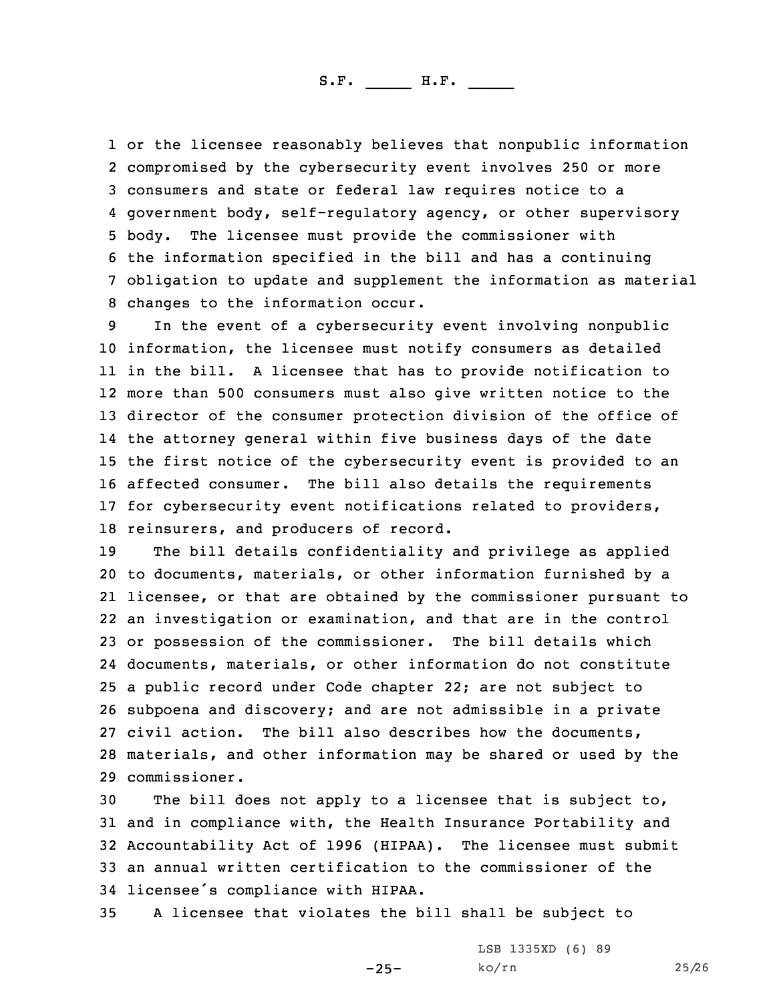or the licensee reasonably believes that nonpublic information compromised by the cybersecurity event involves 250 or more consumers and state or federal law requires notice to <sup>a</sup> government body, self-regulatory agency, or other supervisory body. The licensee must provide the commissioner with the information specified in the bill and has <sup>a</sup> continuing obligation to update and supplement the information as material changes to the information occur.

 In the event of <sup>a</sup> cybersecurity event involving nonpublic information, the licensee must notify consumers as detailed in the bill. <sup>A</sup> licensee that has to provide notification to more than 500 consumers must also give written notice to the director of the consumer protection division of the office of the attorney general within five business days of the date the first notice of the cybersecurity event is provided to an affected consumer. The bill also details the requirements for cybersecurity event notifications related to providers, reinsurers, and producers of record.

 The bill details confidentiality and privilege as applied to documents, materials, or other information furnished by <sup>a</sup> licensee, or that are obtained by the commissioner pursuant to an investigation or examination, and that are in the control or possession of the commissioner. The bill details which documents, materials, or other information do not constitute <sup>a</sup> public record under Code chapter 22; are not subject to subpoena and discovery; and are not admissible in <sup>a</sup> private civil action. The bill also describes how the documents, materials, and other information may be shared or used by the commissioner.

 The bill does not apply to <sup>a</sup> licensee that is subject to, and in compliance with, the Health Insurance Portability and Accountability Act of 1996 (HIPAA). The licensee must submit an annual written certification to the commissioner of the licensee's compliance with HIPAA.

-25-

35 <sup>A</sup> licensee that violates the bill shall be subject to

LSB 1335XD (6) 89 ko/rn 25/26